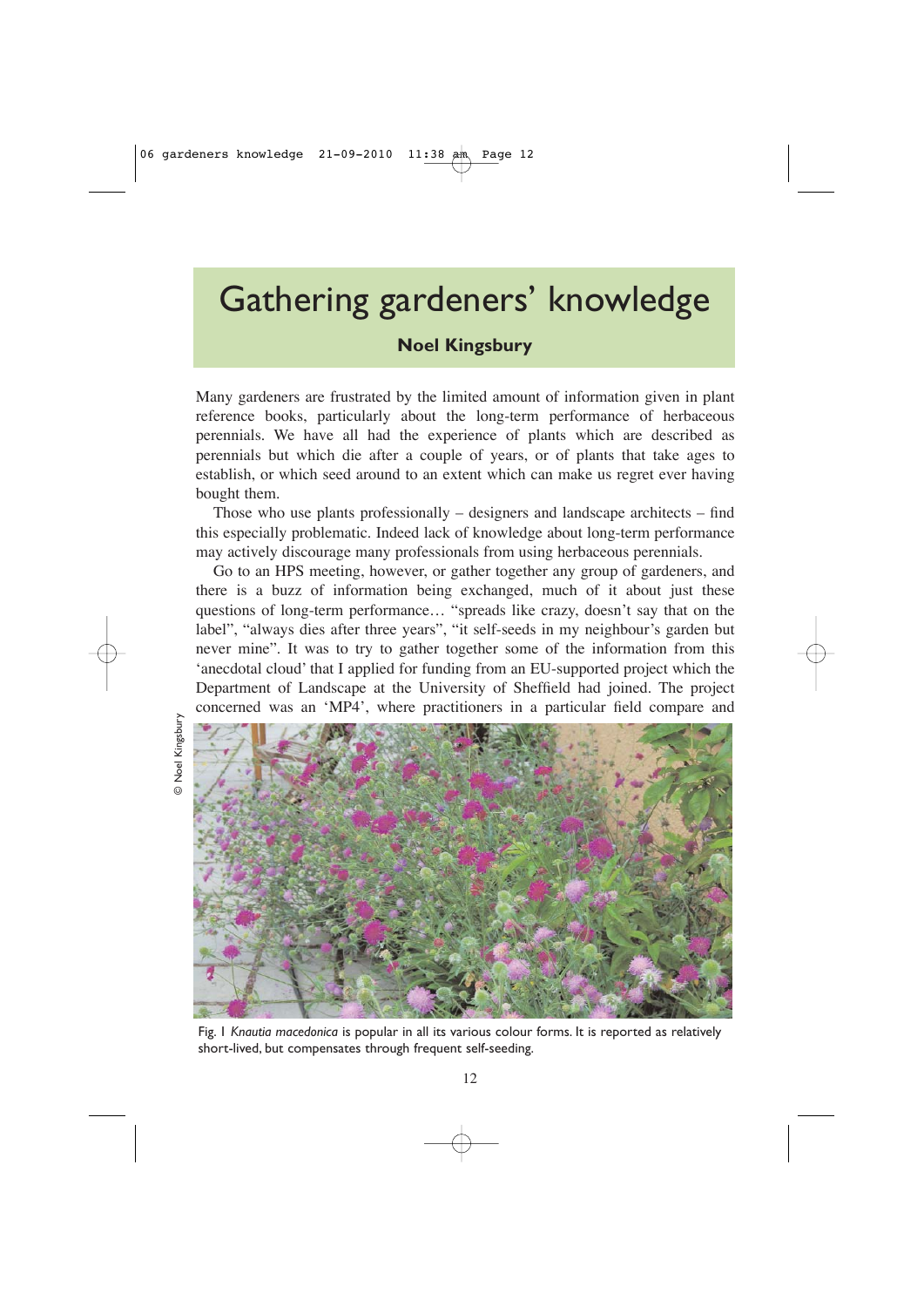# Gathering gardeners' knowledge

# **Noel Kingsbury**

Many gardeners are frustrated by the limited amount of information given in plant reference books, particularly about the long-term performance of herbaceous perennials. We have all had the experience of plants which are described as perennials but which die after a couple of years, or of plants that take ages to establish, or which seed around to an extent which can make us regret ever having bought them.

Those who use plants professionally  $-$  designers and landscape architects  $-$  find this especially problematic. Indeed lack of knowledge about long-term performance may actively discourage many professionals from using herbaceous perennials.

Go to an HPS meeting, however, or gather together any group of gardeners, and there is a buzz of information being exchanged, much of it about just these questions of long-term performance… "spreads like crazy, doesn't say that on the label", "always dies after three years", "it self-seeds in my neighbour's garden but never mine". It was to try to gather together some of the information from this 'anecdotal cloud' that I applied for funding from an EU-supported project which the Department of Landscape at the University of Sheffield had joined. The project concerned was an 'MP4', where practitioners in a particular field compare and

© Noel Kingsbury © Noel Kingsbury



Fig. 1 *Knautia macedonica* is popular in all its various colour forms. It is reported as relatively short-lived, but compensates through frequent self-seeding.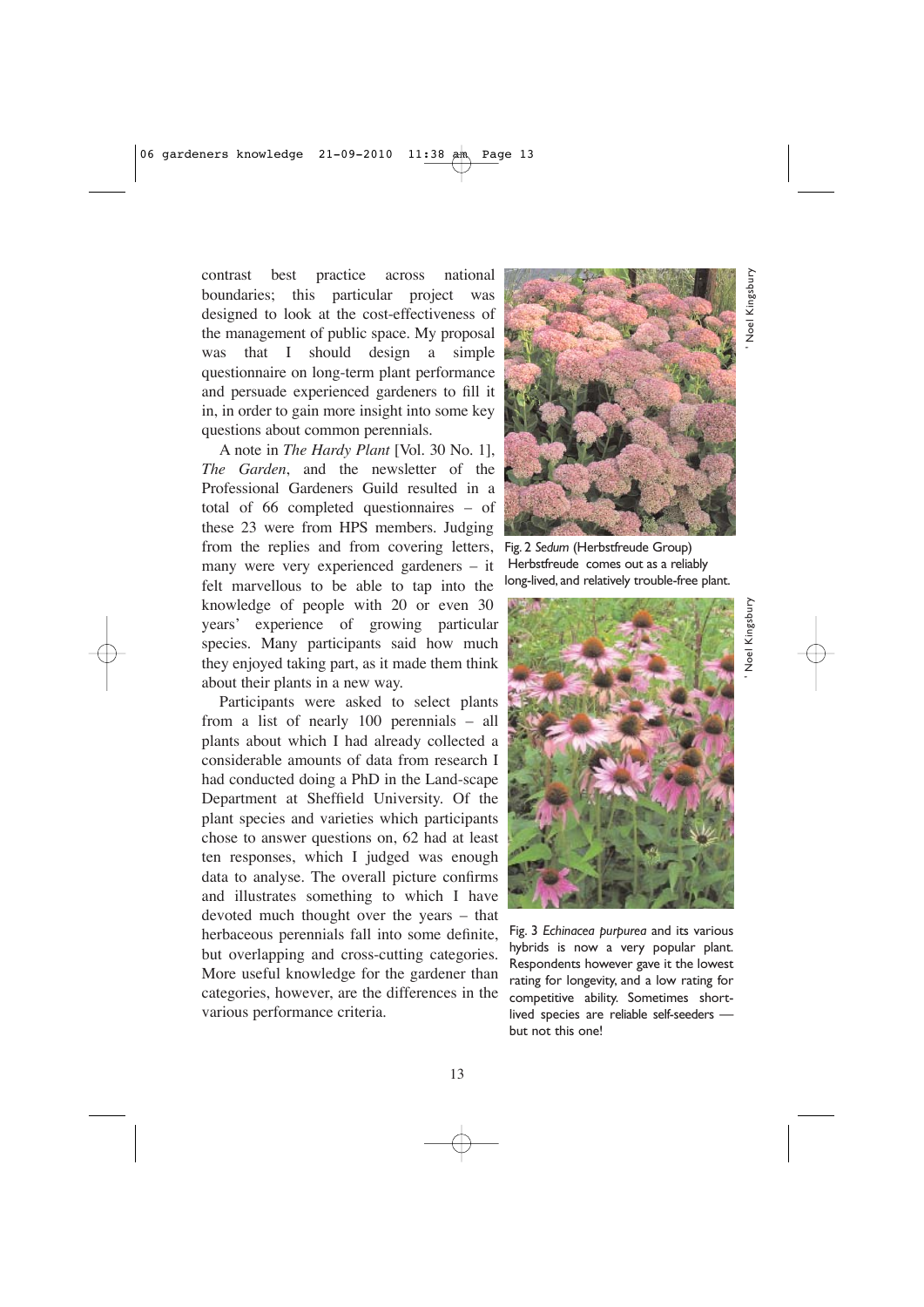contrast best practice across national boundaries; this particular project was designed to look at the cost-effectiveness of the management of public space. My proposal was that I should design a simple questionnaire on long-term plant performance and persuade experienced gardeners to fill it in, in order to gain more insight into some key questions about common perennials.

A note in *The Hardy Plant* [Vol. 30 No. 1], *The Garden*, and the newsletter of the Professional Gardeners Guild resulted in a total of 66 completed questionnaires – of these 23 were from HPS members. Judging from the replies and from covering letters, many were very experienced gardeners – it felt marvellous to be able to tap into the knowledge of people with 20 or even 30 years' experience of growing particular species. Many participants said how much they enjoyed taking part, as it made them think about their plants in a new way.

Participants were asked to select plants from a list of nearly 100 perennials – all plants about which I had already collected a considerable amounts of data from research I had conducted doing a PhD in the Land-scape Department at Sheffield University. Of the plant species and varieties which participants chose to answer questions on, 62 had at least ten responses, which I judged was enough data to analyse. The overall picture confirms and illustrates something to which I have devoted much thought over the years – that herbaceous perennials fall into some definite, but overlapping and cross-cutting categories. More useful knowledge for the gardener than categories, however, are the differences in the various performance criteria.



Fig. 2 *Sedum* (Herbstfreude Group) Herbstfreude comes out as a reliably long-lived, and relatively trouble-free plant.



Fig. 3 *Echinacea purpurea* and its various hybrids is now a very popular plant. Respondents however gave it the lowest rating for longevity, and a low rating for competitive ability. Sometimes shortlived species are reliable self-seeders but not this one!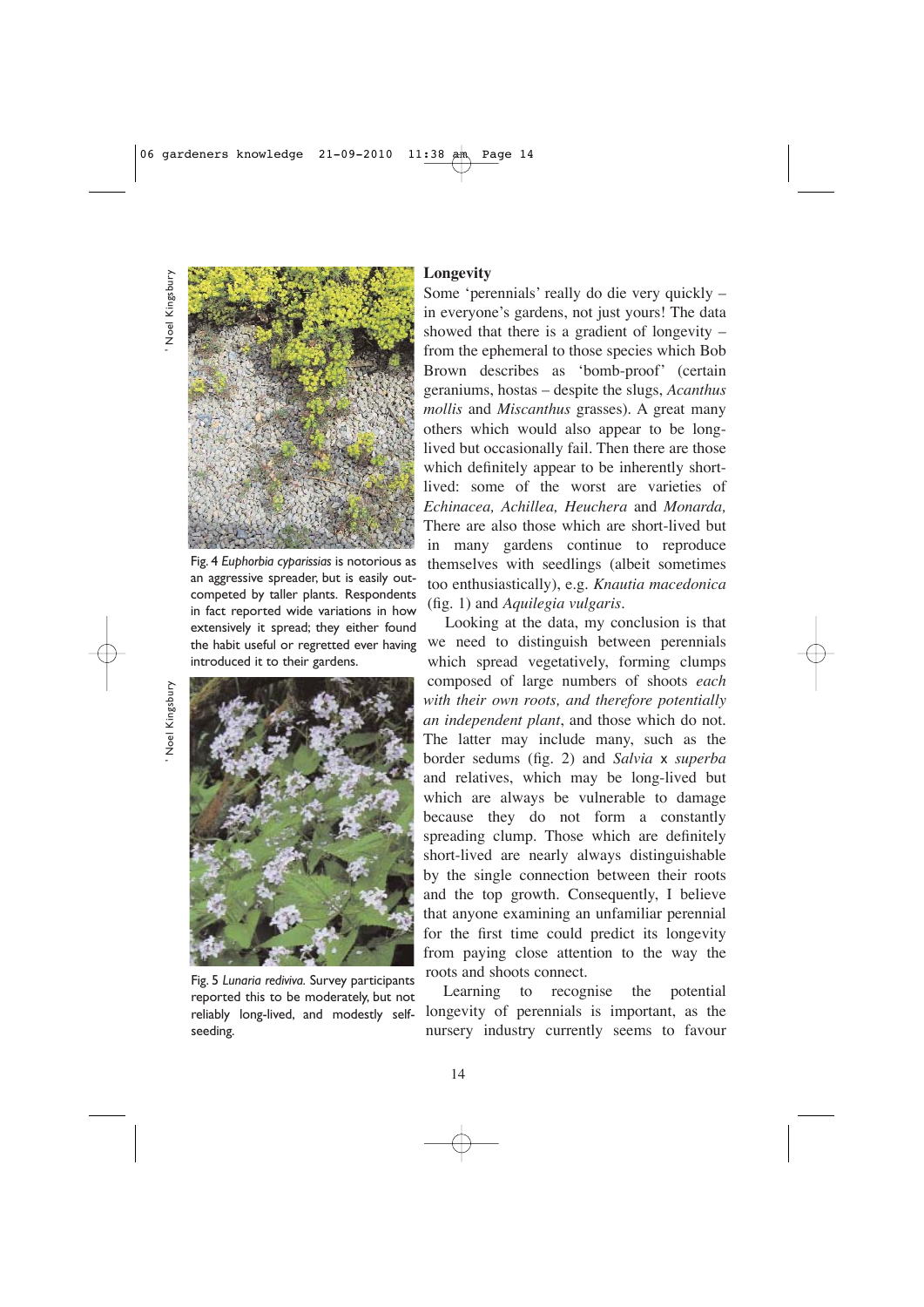' Noel Kingsbury Noel Kingsbury



Fig. 4 *Euphorbia cyparissias* is notorious as an aggressive spreader, but is easily outcompeted by taller plants. Respondents in fact reported wide variations in how extensively it spread; they either found the habit useful or regretted ever having introduced it to their gardens.

' Noel Kingsbury Noel Kingsbury



Fig. 5 *Lunaria rediviva.* Survey participants reported this to be moderately, but not reliably long-lived, and modestly selfseeding.

### **Longevity**

Some 'perennials' really do die very quickly – in everyone's gardens, not just yours! The data showed that there is a gradient of longevity – from the ephemeral to those species which Bob Brown describes as 'bomb-proof' (certain geraniums, hostas – despite the slugs, *Acanthus mollis* and *Miscanthus* grasses). A great many others which would also appear to be longlived but occasionally fail. Then there are those which definitely appear to be inherently shortlived: some of the worst are varieties of *Echinacea, Achillea, Heuchera* and *Monarda,* There are also those which are short-lived but in many gardens continue to reproduce themselves with seedlings (albeit sometimes too enthusiastically), e.g. *Knautia macedonica* (fig. 1) and *Aquilegia vulgaris.*

Looking at the data, my conclusion is that we need to distinguish between perennials which spread vegetatively, forming clumps composed of large numbers of shoots *each with their own roots, and therefore potentially an independent plant*, and those which do not. The latter may include many, such as the border sedums (fig. 2) and *Salvia* x *superba* and relatives, which may be long-lived but which are always be vulnerable to damage because they do not form a constantly spreading clump. Those which are definitely short-lived are nearly always distinguishable by the single connection between their roots and the top growth. Consequently, I believe that anyone examining an unfamiliar perennial for the first time could predict its longevity from paying close attention to the way the roots and shoots connect.

Learning to recognise the potential longevity of perennials is important, as the nursery industry currently seems to favour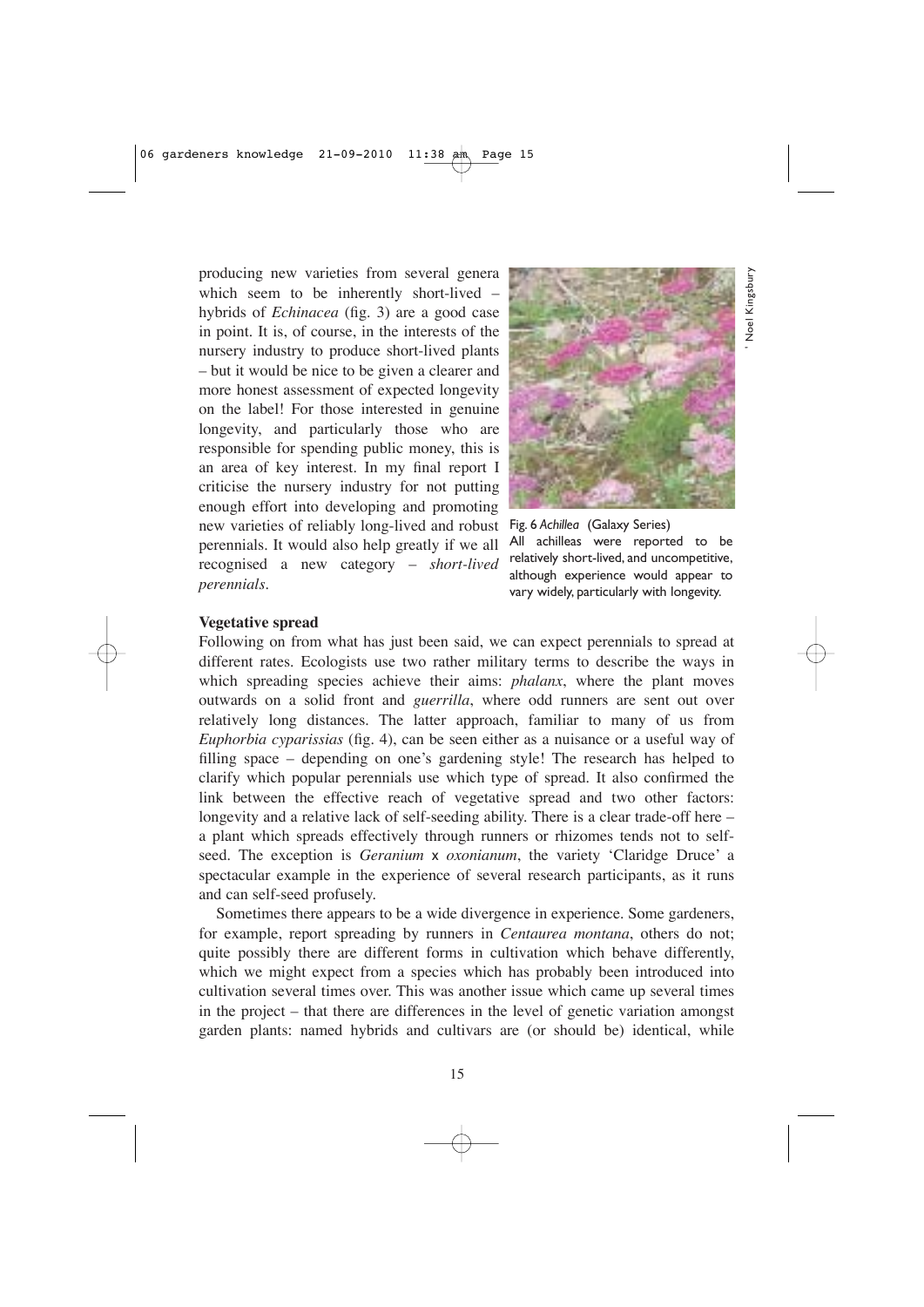producing new varieties from several genera which seem to be inherently short-lived hybrids of *Echinacea* (fig. 3) are a good case in point. It is, of course, in the interests of the nursery industry to produce short-lived plants – but it would be nice to be given a clearer and more honest assessment of expected longevity on the label! For those interested in genuine longevity, and particularly those who are responsible for spending public money, this is an area of key interest. In my final report I criticise the nursery industry for not putting enough effort into developing and promoting new varieties of reliably long-lived and robust Fig. 6 *Achillea* (Galaxy Series) perennials. It would also help greatly if we all recognised a new category – *short-lived perennials.* 



' Noel Kingsbury

All achilleas were reported to be relatively short-lived, and uncompetitive, although experience would appear to vary widely, particularly with longevity.

#### **Vegetative spread**

Following on from what has just been said, we can expect perennials to spread at different rates. Ecologists use two rather military terms to describe the ways in which spreading species achieve their aims: *phalanx*, where the plant moves outwards on a solid front and *guerrilla*, where odd runners are sent out over relatively long distances. The latter approach, familiar to many of us from *Euphorbia cyparissias* (fig. 4), can be seen either as a nuisance or a useful way of filling space – depending on one's gardening style! The research has helped to clarify which popular perennials use which type of spread. It also confirmed the link between the effective reach of vegetative spread and two other factors: longevity and a relative lack of self-seeding ability. There is a clear trade-off here – a plant which spreads effectively through runners or rhizomes tends not to selfseed. The exception is *Geranium* x *oxonianum*, the variety 'Claridge Druce' a spectacular example in the experience of several research participants, as it runs and can self-seed profusely.

Sometimes there appears to be a wide divergence in experience. Some gardeners, for example, report spreading by runners in *Centaurea montana*, others do not; quite possibly there are different forms in cultivation which behave differently, which we might expect from a species which has probably been introduced into cultivation several times over. This was another issue which came up several times in the project – that there are differences in the level of genetic variation amongst garden plants: named hybrids and cultivars are (or should be) identical, while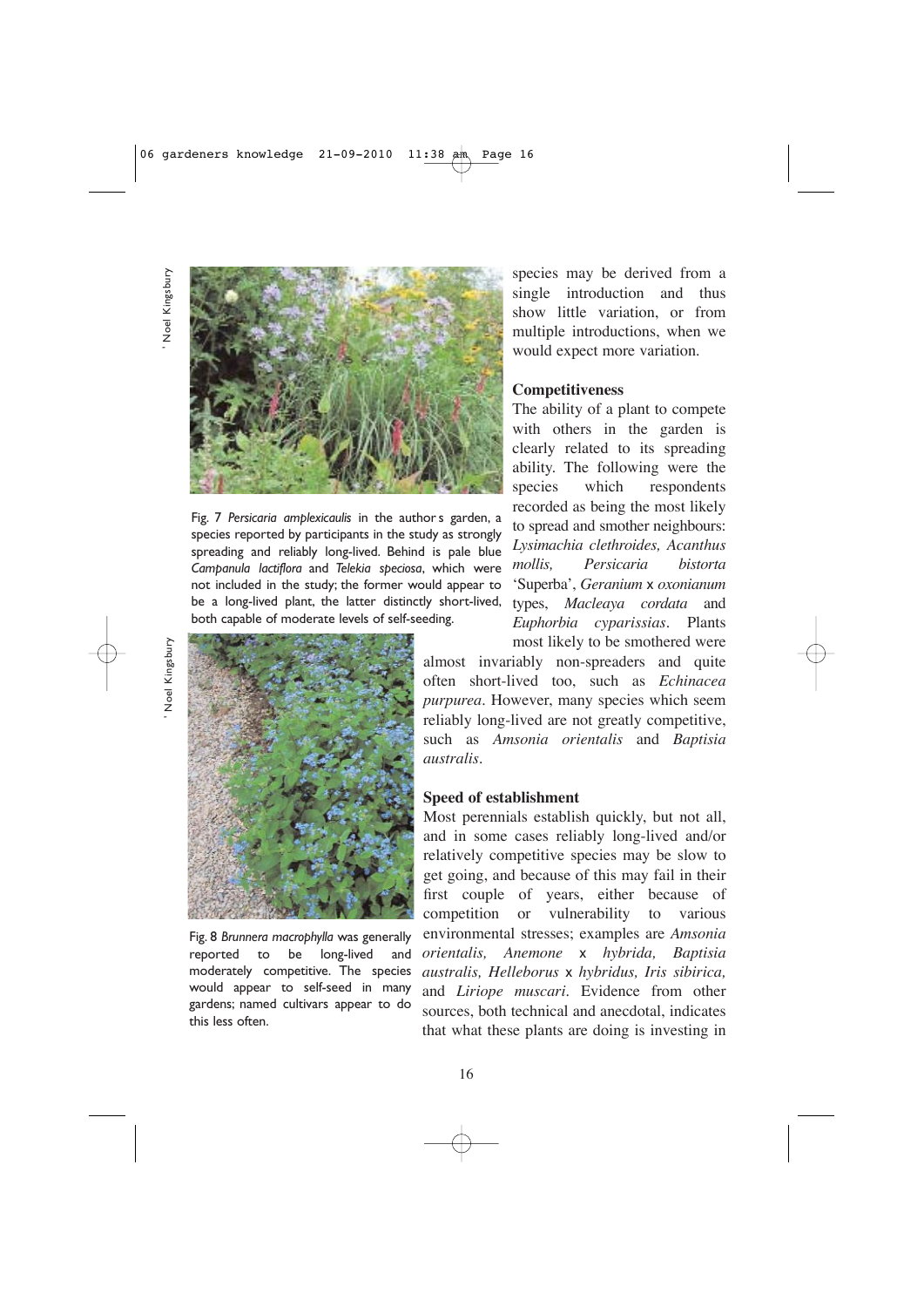' Noel Kingsbury Noel Kingsbury



Fig. 7 *Persicaria amplexicaulis* in the author s garden, a species reported by participants in the study as strongly spreading and reliably long-lived. Behind is pale blue *Campanula lactiflora* and *Telekia speciosa*, which were not included in the study; the former would appear to be a long-lived plant, the latter distinctly short-lived, both capable of moderate levels of self-seeding.

' Noel Kingsbury Noel Kingsbur



Fig. 8 *Brunnera macrophylla* was generally reported to be long-lived and moderately competitive. The species would appear to self-seed in many gardens; named cultivars appear to do this less often.

species may be derived from a single introduction and thus show little variation, or from multiple introductions, when we would expect more variation.

#### **Competitiveness**

The ability of a plant to compete with others in the garden is clearly related to its spreading ability. The following were the species which respondents recorded as being the most likely to spread and smother neighbours: *Lysimachia clethroides, Acanthus mollis, Persicaria bistorta* 'Superba', *Geranium* x *oxonianum* types, *Macleaya cordata* and *Euphorbia cyparissias.* Plants most likely to be smothered were

almost invariably non-spreaders and quite often short-lived too, such as *Echinacea purpurea*. However, many species which seem reliably long-lived are not greatly competitive, such as *Amsonia orientalis* and *Baptisia australis.*

#### **Speed of establishment**

Most perennials establish quickly, but not all, and in some cases reliably long-lived and/or relatively competitive species may be slow to get going, and because of this may fail in their first couple of years, either because of competition or vulnerability to various environmental stresses; examples are *Amsonia orientalis, Anemone* x *hybrida, Baptisia australis, Helleborus* x *hybridus, Iris sibirica,* and *Liriope muscari*. Evidence from other sources, both technical and anecdotal, indicates that what these plants are doing is investing in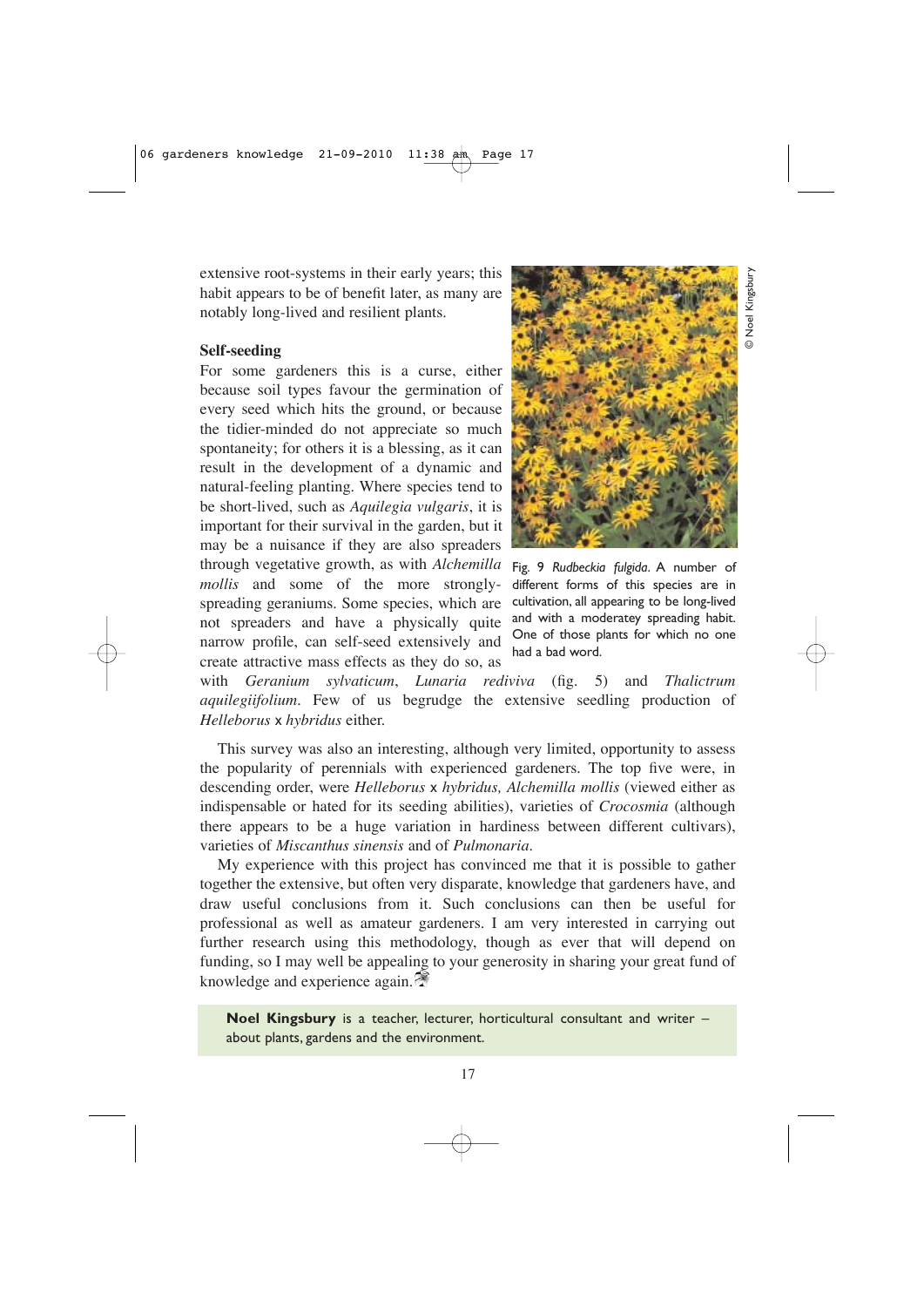extensive root-systems in their early years; this habit appears to be of benefit later, as many are notably long-lived and resilient plants.

#### **Self-seeding**

For some gardeners this is a curse, either because soil types favour the germination of every seed which hits the ground, or because the tidier-minded do not appreciate so much spontaneity; for others it is a blessing, as it can result in the development of a dynamic and natural-feeling planting. Where species tend to be short-lived, such as *Aquilegia vulgaris*, it is important for their survival in the garden, but it may be a nuisance if they are also spreaders through vegetative growth, as with *Alchemilla mollis* and some of the more stronglyspreading geraniums. Some species, which are not spreaders and have a physically quite narrow profile, can self-seed extensively and create attractive mass effects as they do so, as



Fig. 9 *Rudbeckia fulgida*. A number of different forms of this species are in cultivation, all appearing to be long-lived and with a moderatey spreading habit. One of those plants for which no one had a bad word.

with *Geranium sylvaticum*, *Lunaria rediviva* (fig. 5) and *Thalictrum aquilegiifolium.* Few of us begrudge the extensive seedling production of *Helleborus* x *hybridus* either.

This survey was also an interesting, although very limited, opportunity to assess the popularity of perennials with experienced gardeners. The top five were, in descending order, were *Helleborus* x *hybridus, Alchemilla mollis* (viewed either as indispensable or hated for its seeding abilities), varieties of *Crocosmia* (although there appears to be a huge variation in hardiness between different cultivars), varieties of *Miscanthus sinensis* and of *Pulmonaria*.

My experience with this project has convinced me that it is possible to gather together the extensive, but often very disparate, knowledge that gardeners have, and draw useful conclusions from it. Such conclusions can then be useful for professional as well as amateur gardeners. I am very interested in carrying out further research using this methodology, though as ever that will depend on funding, so I may well be appealing to your generosity in sharing your great fund of knowledge and experience again.

**Noel Kingsbury** is a teacher, lecturer, horticultural consultant and writer – about plants, gardens and the environment.